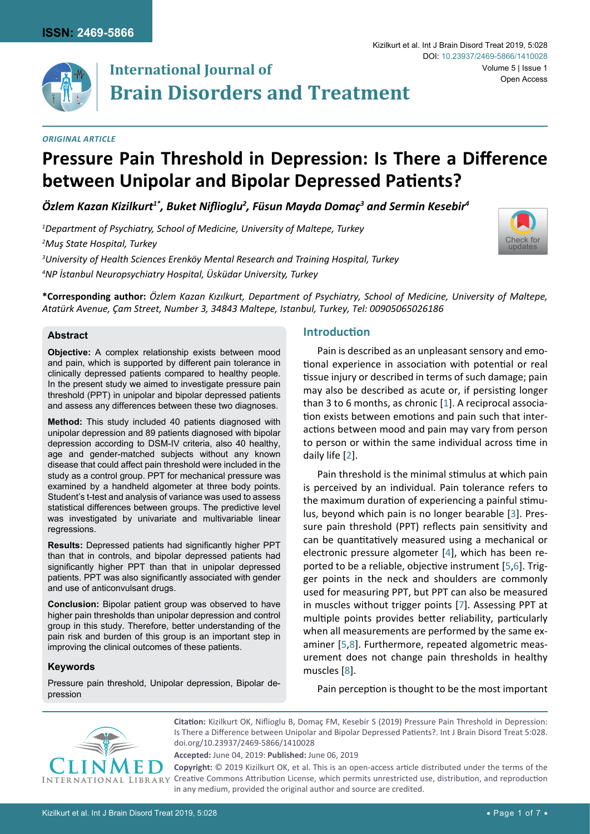

# **International Journal of Brain Disorders and Treatment**

## *Original Article*

#### Kizilkurt et al. Int J Brain Disord Treat 2019, 5:028 Volume 5 | Issue 1 DOI: [10.23937/2469-5866/1410028](https://doi.org/10.23937/2469-5866/1410028) Open Access

# **Pressure Pain Threshold in Depression: Is There a Difference between Unipolar and Bipolar Depressed Patients?**

*Özlem Kazan Kizilkurt1\*, Buket Niflioglu<sup>2</sup> , Füsun Mayda Domaç<sup>3</sup> and Sermin Kesebir4*

 *Department of Psychiatry, School of Medicine, University of Maltepe, Turkey Muş State Hospital, Turkey University of Health Sciences Erenköy Mental Research and Training Hospital, Turkey NP İstanbul Neuropsychiatry Hospital, Üsküdar University, Turkey*



## **Abstract**

**Objective:** A complex relationship exists between mood and pain, which is supported by different pain tolerance in clinically depressed patients compared to healthy people. In the present study we aimed to investigate pressure pain threshold (PPT) in unipolar and bipolar depressed patients and assess any differences between these two diagnoses.

**Method:** This study included 40 patients diagnosed with unipolar depression and 89 patients diagnosed with bipolar depression according to DSM-IV criteria, also 40 healthy, age and gender-matched subjects without any known disease that could affect pain threshold were included in the study as a control group. PPT for mechanical pressure was examined by a handheld algometer at three body points. Student's t-test and analysis of variance was used to assess statistical differences between groups. The predictive level was investigated by univariate and multivariable linear regressions.

**Results:** Depressed patients had significantly higher PPT than that in controls, and bipolar depressed patients had significantly higher PPT than that in unipolar depressed patients. PPT was also significantly associated with gender and use of anticonvulsant drugs.

**Conclusion:** Bipolar patient group was observed to have higher pain thresholds than unipolar depression and control group in this study. Therefore, better understanding of the pain risk and burden of this group is an important step in improving the clinical outcomes of these patients.

## **Keywords**

Pressure pain threshold, Unipolar depression, Bipolar depression

# **Introduction**

Pain is described as an unpleasant sensory and emotional experience in association with potential or real tissue injury or described in terms of such damage; pain may also be described as acute or, if persisting longer than 3 to 6 months, as chronic [\[1](#page-4-0)]. A reciprocal association exists between emotions and pain such that interactions between mood and pain may vary from person to person or within the same individual across time in daily life [\[2](#page-4-1)].

Pain threshold is the minimal stimulus at which pain is perceived by an individual. Pain tolerance refers to the maximum duration of experiencing a painful stimulus, beyond which pain is no longer bearable [\[3\]](#page-4-2). Pressure pain threshold (PPT) reflects pain sensitivity and can be quantitatively measured using a mechanical or electronic pressure algometer [[4](#page-4-3)], which has been reported to be a reliable, objective instrument [[5](#page-4-4),[6\]](#page-4-5). Trigger points in the neck and shoulders are commonly used for measuring PPT, but PPT can also be measured in muscles without trigger points [[7](#page-4-6)]. Assessing PPT at multiple points provides better reliability, particularly when all measurements are performed by the same examiner [\[5](#page-4-4),[8](#page-4-7)]. Furthermore, repeated algometric measurement does not change pain thresholds in healthy muscles [[8](#page-4-7)].

Pain perception is thought to be the most important



**Citation:** Kizilkurt OK, Niflioglu B, Domaç FM, Kesebir S (2019) Pressure Pain Threshold in Depression: Is There a Difference between Unipolar and Bipolar Depressed Patients?. Int J Brain Disord Treat 5:028. [doi.org/10.23937/2469-5866/1410028](https://doi.org/10.23937/2469-5866/1410028)

**Accepted:** June 04, 2019: **Published:** June 06, 2019

**Copyright:** © 2019 Kizilkurt OK, et al. This is an open-access article distributed under the terms of the Creative Commons Attribution License, which permits unrestricted use, distribution, and reproduction in any medium, provided the original author and source are credited.

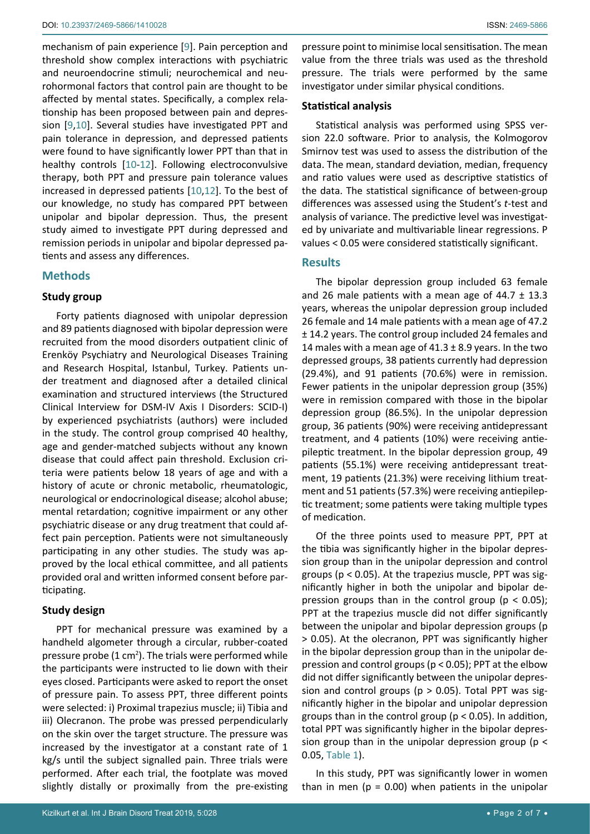mechanism of pain experience [[9](#page-5-0)]. Pain perception and threshold show complex interactions with psychiatric and neuroendocrine stimuli; neurochemical and neurohormonal factors that control pain are thought to be affected by mental states. Specifically, a complex relationship has been proposed between pain and depression [\[9](#page-5-0),[10\]](#page-5-1). Several studies have investigated PPT and pain tolerance in depression, and depressed patients were found to have significantly lower PPT than that in healthy controls [[10-](#page-5-1)[12](#page-5-2)]. Following electroconvulsive therapy, both PPT and pressure pain tolerance values increased in depressed patients [\[10](#page-5-1),[12](#page-5-2)]. To the best of our knowledge, no study has compared PPT between unipolar and bipolar depression. Thus, the present study aimed to investigate PPT during depressed and remission periods in unipolar and bipolar depressed patients and assess any differences.

## **Methods**

# **Study group**

Forty patients diagnosed with unipolar depression and 89 patients diagnosed with bipolar depression were recruited from the mood disorders outpatient clinic of Erenköy Psychiatry and Neurological Diseases Training and Research Hospital, Istanbul, Turkey. Patients under treatment and diagnosed after a detailed clinical examination and structured interviews (the Structured Clinical Interview for DSM-IV Axis I Disorders: SCID-I) by experienced psychiatrists (authors) were included in the study. The control group comprised 40 healthy, age and gender-matched subjects without any known disease that could affect pain threshold. Exclusion criteria were patients below 18 years of age and with a history of acute or chronic metabolic, rheumatologic, neurological or endocrinological disease; alcohol abuse; mental retardation; cognitive impairment or any other psychiatric disease or any drug treatment that could affect pain perception. Patients were not simultaneously participating in any other studies. The study was approved by the local ethical committee, and all patients provided oral and written informed consent before participating.

# **Study design**

PPT for mechanical pressure was examined by a handheld algometer through a circular, rubber-coated pressure probe (1  $cm<sup>2</sup>$ ). The trials were performed while the participants were instructed to lie down with their eyes closed. Participants were asked to report the onset of pressure pain. To assess PPT, three different points were selected: i) Proximal trapezius muscle; ii) Tibia and iii) Olecranon. The probe was pressed perpendicularly on the skin over the target structure. The pressure was increased by the investigator at a constant rate of 1 kg/s until the subject signalled pain. Three trials were performed. After each trial, the footplate was moved slightly distally or proximally from the pre-existing

pressure point to minimise local sensitisation. The mean value from the three trials was used as the threshold pressure. The trials were performed by the same investigator under similar physical conditions.

# **Statistical analysis**

Statistical analysis was performed using SPSS version 22.0 software. Prior to analysis, the Kolmogorov Smirnov test was used to assess the distribution of the data. The mean, standard deviation, median, frequency and ratio values were used as descriptive statistics of the data. The statistical significance of between-group differences was assessed using the Student's *t*-test and analysis of variance. The predictive level was investigated by univariate and multivariable linear regressions. P values < 0.05 were considered statistically significant.

# **Results**

The bipolar depression group included 63 female and 26 male patients with a mean age of  $44.7 \pm 13.3$ years, whereas the unipolar depression group included 26 female and 14 male patients with a mean age of 47.2 ± 14.2 years. The control group included 24 females and 14 males with a mean age of  $41.3 \pm 8.9$  years. In the two depressed groups, 38 patients currently had depression (29.4%), and 91 patients (70.6%) were in remission. Fewer patients in the unipolar depression group (35%) were in remission compared with those in the bipolar depression group (86.5%). In the unipolar depression group, 36 patients (90%) were receiving antidepressant treatment, and 4 patients (10%) were receiving antiepileptic treatment. In the bipolar depression group, 49 patients (55.1%) were receiving antidepressant treatment, 19 patients (21.3%) were receiving lithium treatment and 51 patients (57.3%) were receiving antiepileptic treatment; some patients were taking multiple types of medication.

Of the three points used to measure PPT, PPT at the tibia was significantly higher in the bipolar depression group than in the unipolar depression and control groups ( $p < 0.05$ ). At the trapezius muscle, PPT was significantly higher in both the unipolar and bipolar depression groups than in the control group ( $p < 0.05$ ); PPT at the trapezius muscle did not differ significantly between the unipolar and bipolar depression groups (p > 0.05). At the olecranon, PPT was significantly higher in the bipolar depression group than in the unipolar depression and control groups (p ˂ 0.05); PPT at the elbow did not differ significantly between the unipolar depression and control groups ( $p > 0.05$ ). Total PPT was significantly higher in the bipolar and unipolar depression groups than in the control group ( $p < 0.05$ ). In addition, total PPT was significantly higher in the bipolar depression group than in the unipolar depression group ( $p <$ 0.05, Table 1).

In this study, PPT was significantly lower in women than in men ( $p = 0.00$ ) when patients in the unipolar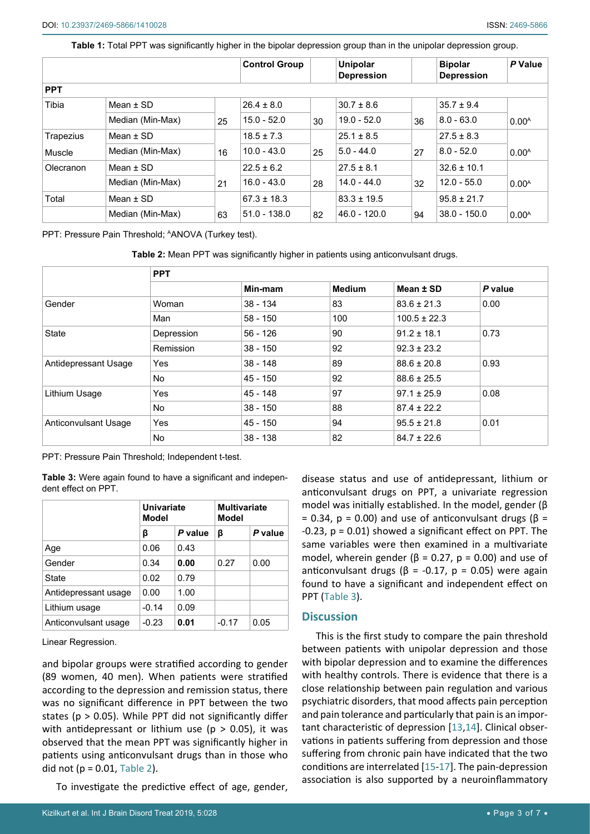**Table 1:** Total PPT was significantly higher in the bipolar depression group than in the unipolar depression group.

|            |                  |    | <b>Control Group</b> |    | <b>Unipolar</b><br><b>Depression</b> |    | <b>Bipolar</b><br><b>Depression</b> | P Value           |
|------------|------------------|----|----------------------|----|--------------------------------------|----|-------------------------------------|-------------------|
| <b>PPT</b> |                  |    |                      |    |                                      |    |                                     |                   |
| Tibia      | Mean $\pm$ SD    |    | $26.4 \pm 8.0$       |    | $30.7 \pm 8.6$                       |    | $35.7 \pm 9.4$                      |                   |
|            | Median (Min-Max) | 25 | $15.0 - 52.0$        | 30 | $19.0 - 52.0$                        | 36 | $8.0 - 63.0$                        | 0.00 <sup>A</sup> |
| Trapezius  | Mean $\pm$ SD    |    | $18.5 \pm 7.3$       |    | $25.1 \pm 8.5$                       |    | $27.5 \pm 8.3$                      |                   |
| Muscle     | Median (Min-Max) | 16 | $10.0 - 43.0$        | 25 | $5.0 - 44.0$                         | 27 | $8.0 - 52.0$                        | 0.00 <sup>A</sup> |
| Olecranon  | Mean $\pm$ SD    |    | $22.5 \pm 6.2$       |    | $27.5 \pm 8.1$                       |    | $32.6 \pm 10.1$                     |                   |
|            | Median (Min-Max) | 21 | $16.0 - 43.0$        | 28 | $14.0 - 44.0$                        | 32 | $12.0 - 55.0$                       | 0.00 <sup>A</sup> |
| Total      | Mean $\pm$ SD    |    | $67.3 \pm 18.3$      |    | $83.3 \pm 19.5$                      |    | $95.8 \pm 21.7$                     |                   |
|            | Median (Min-Max) | 63 | $51.0 - 138.0$       | 82 | $46.0 - 120.0$                       | 94 | $38.0 - 150.0$                      | $0.00^{A}$        |

PPT: Pressure Pain Threshold; AANOVA (Turkey test).

**Table 2:** Mean PPT was significantly higher in patients using anticonvulsant drugs.

|                      | <b>PPT</b> |            |               |                  |         |  |  |
|----------------------|------------|------------|---------------|------------------|---------|--|--|
|                      |            | Min-mam    | <b>Medium</b> | Mean ± SD        | P value |  |  |
| Gender               | Woman      | $38 - 134$ | 83            | $83.6 \pm 21.3$  | 0.00    |  |  |
|                      | Man        | $58 - 150$ | 100           | $100.5 \pm 22.3$ |         |  |  |
| State                | Depression | $56 - 126$ | 90            | $91.2 \pm 18.1$  | 0.73    |  |  |
|                      | Remission  | $38 - 150$ | 92            | $92.3 \pm 23.2$  |         |  |  |
| Antidepressant Usage | Yes        | $38 - 148$ | 89            | $88.6 \pm 20.8$  | 0.93    |  |  |
|                      | No.        | $45 - 150$ | 92            | $88.6 \pm 25.5$  |         |  |  |
| Lithium Usage        | Yes        | 45 - 148   | 97            | $97.1 \pm 25.9$  | 0.08    |  |  |
|                      | No.        | $38 - 150$ | 88            | $87.4 \pm 22.2$  |         |  |  |
| Anticonvulsant Usage | Yes        | $45 - 150$ | 94            | $95.5 \pm 21.8$  | 0.01    |  |  |
|                      | No.        | $38 - 138$ | 82            | $84.7 \pm 22.6$  |         |  |  |

PPT: Pressure Pain Threshold; Independent t-test.

**Table 3:** Were again found to have a significant and independent effect on PPT.

|                      | Univariate<br>Model |         | <b>Multivariate</b><br>Model |         |
|----------------------|---------------------|---------|------------------------------|---------|
|                      | β                   | P value | β                            | P value |
| Age                  | 0.06                | 0.43    |                              |         |
| Gender               | 0.34                | 0.00    | 0.27                         | 0.00    |
| State                | 0.02                | 0.79    |                              |         |
| Antidepressant usage | 0.00                | 1.00    |                              |         |
| Lithium usage        | $-0.14$             | 0.09    |                              |         |
| Anticonvulsant usage | $-0.23$             | 0.01    | $-0.17$                      | 0.05    |

Linear Regression.

and bipolar groups were stratified according to gender (89 women, 40 men). When patients were stratified according to the depression and remission status, there was no significant difference in PPT between the two states ( $p > 0.05$ ). While PPT did not significantly differ with antidepressant or lithium use ( $p > 0.05$ ), it was observed that the mean PPT was significantly higher in patients using anticonvulsant drugs than in those who did not ( $p = 0.01$ , Table 2).

To investigate the predictive effect of age, gender,

disease status and use of antidepressant, lithium or anticonvulsant drugs on PPT, a univariate regression model was initially established. In the model, gender (β = 0.34,  $p = 0.00$ ) and use of anticonvulsant drugs (β =  $-0.23$ ,  $p = 0.01$ ) showed a significant effect on PPT. The same variables were then examined in a multivariate model, wherein gender ( $β = 0.27$ ,  $p = 0.00$ ) and use of anticonvulsant drugs ( $β = -0.17$ ,  $p = 0.05$ ) were again found to have a significant and independent effect on PPT (Table 3).

#### **Discussion**

This is the first study to compare the pain threshold between patients with unipolar depression and those with bipolar depression and to examine the differences with healthy controls. There is evidence that there is a close relationship between pain regulation and various psychiatric disorders, that mood affects pain perception and pain tolerance and particularly that pain is an important characteristic of depression [[13](#page-5-3),[14\]](#page-5-4). Clinical observations in patients suffering from depression and those suffering from chronic pain have indicated that the two conditions are interrelated [[15-](#page-5-5)[17](#page-5-6)]. The pain-depression association is also supported by a neuroinflammatory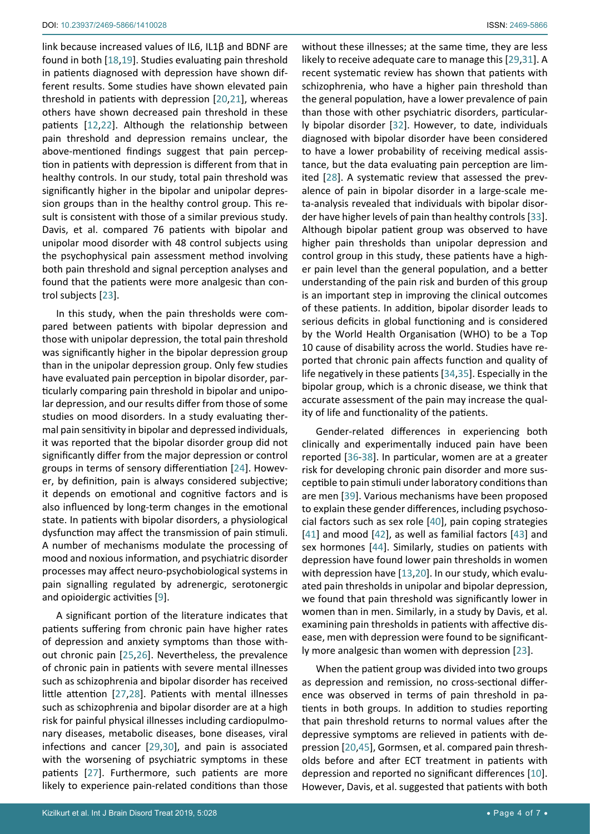link because increased values of IL6, IL1β and BDNF are found in both [[18](#page-5-25),[19\]](#page-5-26). Studies evaluating pain threshold in patients diagnosed with depression have shown different results. Some studies have shown elevated pain threshold in patients with depression [\[20](#page-5-22),[21](#page-5-27)], whereas others have shown decreased pain threshold in these patients [\[12](#page-5-2),[22](#page-5-28)]. Although the relationship between pain threshold and depression remains unclear, the above-mentioned findings suggest that pain perception in patients with depression is different from that in healthy controls. In our study, total pain threshold was significantly higher in the bipolar and unipolar depression groups than in the healthy control group. This result is consistent with those of a similar previous study. Davis, et al. compared 76 patients with bipolar and unipolar mood disorder with 48 control subjects using the psychophysical pain assessment method involving both pain threshold and signal perception analyses and found that the patients were more analgesic than control subjects [\[23](#page-5-23)].

In this study, when the pain thresholds were compared between patients with bipolar depression and those with unipolar depression, the total pain threshold was significantly higher in the bipolar depression group than in the unipolar depression group. Only few studies have evaluated pain perception in bipolar disorder, particularly comparing pain threshold in bipolar and unipolar depression, and our results differ from those of some studies on mood disorders. In a study evaluating thermal pain sensitivity in bipolar and depressed individuals, it was reported that the bipolar disorder group did not significantly differ from the major depression or control groups in terms of sensory differentiation [\[24](#page-5-29)]. However, by definition, pain is always considered subjective; it depends on emotional and cognitive factors and is also influenced by long-term changes in the emotional state. In patients with bipolar disorders, a physiological dysfunction may affect the transmission of pain stimuli. A number of mechanisms modulate the processing of mood and noxious information, and psychiatric disorder processes may affect neuro-psychobiological systems in pain signalling regulated by adrenergic, serotonergic and opioidergic activities [\[9](#page-5-0)].

A significant portion of the literature indicates that patients suffering from chronic pain have higher rates of depression and anxiety symptoms than those without chronic pain [[25](#page-5-30),[26\]](#page-5-31). Nevertheless, the prevalence of chronic pain in patients with severe mental illnesses such as schizophrenia and bipolar disorder has received little attention [\[27](#page-5-32),[28](#page-5-10)]. Patients with mental illnesses such as schizophrenia and bipolar disorder are at a high risk for painful physical illnesses including cardiopulmonary diseases, metabolic diseases, bone diseases, viral infections and cancer [\[29](#page-5-7),[30](#page-5-33)], and pain is associated with the worsening of psychiatric symptoms in these patients [\[27](#page-5-32)]. Furthermore, such patients are more likely to experience pain-related conditions than those without these illnesses; at the same time, they are less likely to receive adequate care to manage this [\[29](#page-5-7),[31](#page-5-8)]. A recent systematic review has shown that patients with schizophrenia, who have a higher pain threshold than the general population, have a lower prevalence of pain than those with other psychiatric disorders, particularly bipolar disorder [\[32\]](#page-5-9). However, to date, individuals diagnosed with bipolar disorder have been considered to have a lower probability of receiving medical assistance, but the data evaluating pain perception are limited [\[28](#page-5-10)]. A systematic review that assessed the prevalence of pain in bipolar disorder in a large-scale meta-analysis revealed that individuals with bipolar disorder have higher levels of pain than healthy controls [\[33\]](#page-5-11). Although bipolar patient group was observed to have higher pain thresholds than unipolar depression and control group in this study, these patients have a higher pain level than the general population, and a better understanding of the pain risk and burden of this group is an important step in improving the clinical outcomes of these patients. In addition, bipolar disorder leads to serious deficits in global functioning and is considered by the World Health Organisation (WHO) to be a Top 10 cause of disability across the world. Studies have reported that chronic pain affects function and quality of life negatively in these patients [\[34](#page-5-12),[35](#page-5-13)]. Especially in the bipolar group, which is a chronic disease, we think that accurate assessment of the pain may increase the quality of life and functionality of the patients.

Gender-related differences in experiencing both clinically and experimentally induced pain have been reported [[36](#page-5-14)[-38](#page-5-15)]. In particular, women are at a greater risk for developing chronic pain disorder and more susceptible to pain stimuli under laboratory conditions than are men [[39\]](#page-5-16). Various mechanisms have been proposed to explain these gender differences, including psychosocial factors such as sex role [[40](#page-5-17)], pain coping strategies [\[41](#page-5-18)] and mood [\[42](#page-5-19)], as well as familial factors [\[43](#page-5-20)] and sex hormones [[44](#page-5-21)]. Similarly, studies on patients with depression have found lower pain thresholds in women with depression have [\[13](#page-5-3),[20](#page-5-22)]. In our study, which evaluated pain thresholds in unipolar and bipolar depression, we found that pain threshold was significantly lower in women than in men. Similarly, in a study by Davis, et al. examining pain thresholds in patients with affective disease, men with depression were found to be significantly more analgesic than women with depression [[23](#page-5-23)].

When the patient group was divided into two groups as depression and remission, no cross-sectional difference was observed in terms of pain threshold in patients in both groups. In addition to studies reporting that pain threshold returns to normal values after the depressive symptoms are relieved in patients with depression [\[20](#page-5-22),[45](#page-5-24)], Gormsen, et al. compared pain thresholds before and after ECT treatment in patients with depression and reported no significant differences [\[10\]](#page-5-1). However, Davis, et al. suggested that patients with both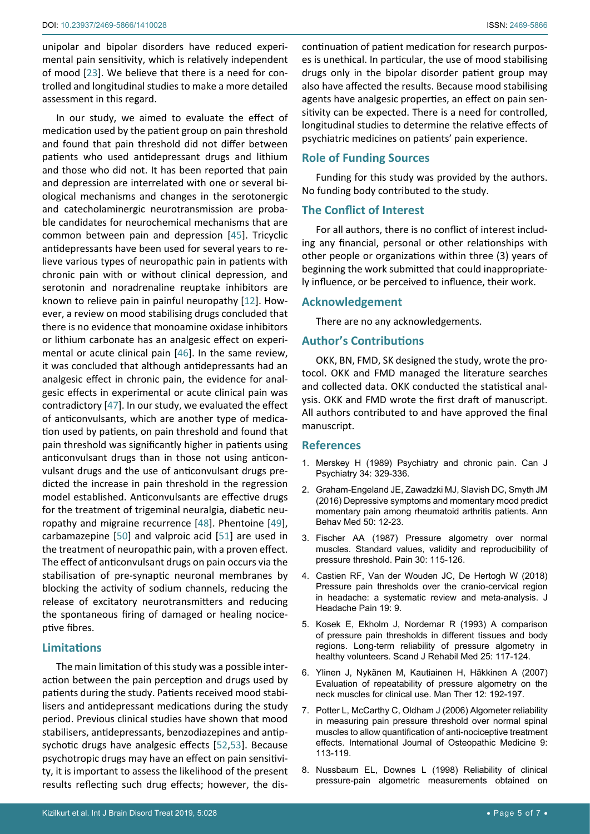unipolar and bipolar disorders have reduced experimental pain sensitivity, which is relatively independent of mood [[23\]](#page-5-23). We believe that there is a need for controlled and longitudinal studies to make a more detailed assessment in this regard.

In our study, we aimed to evaluate the effect of medication used by the patient group on pain threshold and found that pain threshold did not differ between patients who used antidepressant drugs and lithium and those who did not. It has been reported that pain and depression are interrelated with one or several biological mechanisms and changes in the serotonergic and catecholaminergic neurotransmission are probable candidates for neurochemical mechanisms that are common between pain and depression [\[45](#page-5-24)]. Tricyclic antidepressants have been used for several years to relieve various types of neuropathic pain in patients with chronic pain with or without clinical depression, and serotonin and noradrenaline reuptake inhibitors are known to relieve pain in painful neuropathy [[12\]](#page-5-2). However, a review on mood stabilising drugs concluded that there is no evidence that monoamine oxidase inhibitors or lithium carbonate has an analgesic effect on experimental or acute clinical pain [\[46](#page-6-0)]. In the same review, it was concluded that although antidepressants had an analgesic effect in chronic pain, the evidence for analgesic effects in experimental or acute clinical pain was contradictory [\[47\]](#page-6-1). In our study, we evaluated the effect of anticonvulsants, which are another type of medication used by patients, on pain threshold and found that pain threshold was significantly higher in patients using anticonvulsant drugs than in those not using anticonvulsant drugs and the use of anticonvulsant drugs predicted the increase in pain threshold in the regression model established. Anticonvulsants are effective drugs for the treatment of trigeminal neuralgia, diabetic neuropathy and migraine recurrence [[48\]](#page-6-2). Phentoine [\[49](#page-6-3)], carbamazepine [[50\]](#page-6-4) and valproic acid [[51\]](#page-6-5) are used in the treatment of neuropathic pain, with a proven effect. The effect of anticonvulsant drugs on pain occurs via the stabilisation of pre-synaptic neuronal membranes by blocking the activity of sodium channels, reducing the release of excitatory neurotransmitters and reducing the spontaneous firing of damaged or healing nociceptive fibres.

# **Limitations**

The main limitation of this study was a possible interaction between the pain perception and drugs used by patients during the study. Patients received mood stabilisers and antidepressant medications during the study period. Previous clinical studies have shown that mood stabilisers, antidepressants, benzodiazepines and antipsychotic drugs have analgesic effects [[52](#page-6-6),[53\]](#page-6-7). Because psychotropic drugs may have an effect on pain sensitivity, it is important to assess the likelihood of the present results reflecting such drug effects; however, the dis-

continuation of patient medication for research purposes is unethical. In particular, the use of mood stabilising drugs only in the bipolar disorder patient group may also have affected the results. Because mood stabilising agents have analgesic properties, an effect on pain sensitivity can be expected. There is a need for controlled, longitudinal studies to determine the relative effects of psychiatric medicines on patients' pain experience.

# **Role of Funding Sources**

Funding for this study was provided by the authors. No funding body contributed to the study.

# **The Conflict of Interest**

For all authors, there is no conflict of interest including any financial, personal or other relationships with other people or organizations within three (3) years of beginning the work submitted that could inappropriately influence, or be perceived to influence, their work.

## **Acknowledgement**

There are no any acknowledgements.

## **Author's Contributions**

OKK, BN, FMD, SK designed the study, wrote the protocol. OKK and FMD managed the literature searches and collected data. OKK conducted the statistical analysis. OKK and FMD wrote the first draft of manuscript. All authors contributed to and have approved the final manuscript.

## **References**

- <span id="page-4-0"></span>1. Merskey H (1989) Psychiatry and chronic pain. Can J Psychiatry 34: 329-336.
- <span id="page-4-1"></span>2. [Graham-Engeland JE, Zawadzki MJ, Slavish DC, Smyth JM](https://www.ncbi.nlm.nih.gov/pmc/articles/PMC4744130/)  [\(2016\) Depressive symptoms and momentary mood predict](https://www.ncbi.nlm.nih.gov/pmc/articles/PMC4744130/)  [momentary pain among rheumatoid arthritis patients. Ann](https://www.ncbi.nlm.nih.gov/pmc/articles/PMC4744130/)  [Behav Med 50: 12-23.](https://www.ncbi.nlm.nih.gov/pmc/articles/PMC4744130/)
- <span id="page-4-2"></span>3. [Fischer AA \(1987\) Pressure algometry over normal](https://www.ncbi.nlm.nih.gov/pubmed/3614975)  [muscles. Standard values, validity and reproducibility of](https://www.ncbi.nlm.nih.gov/pubmed/3614975)  [pressure threshold. Pain 30: 115-126.](https://www.ncbi.nlm.nih.gov/pubmed/3614975)
- <span id="page-4-3"></span>4. Castien RF, Van der Wouden JC, De Hertogh W (2018) Pressure pain thresholds over the cranio-cervical region in headache: a systematic review and meta-analysis. J Headache Pain 19: 9.
- <span id="page-4-4"></span>5. [Kosek E, Ekholm J, Nordemar R \(1993\) A comparison](https://www.ncbi.nlm.nih.gov/pubmed/8248762)  [of pressure pain thresholds in different tissues and body](https://www.ncbi.nlm.nih.gov/pubmed/8248762)  [regions. Long-term reliability of pressure algometry in](https://www.ncbi.nlm.nih.gov/pubmed/8248762)  [healthy volunteers. Scand J Rehabil Med 25: 117-124.](https://www.ncbi.nlm.nih.gov/pubmed/8248762)
- <span id="page-4-5"></span>6. [Ylinen J, Nykänen M, Kautiainen H, Häkkinen A \(2007\)](https://www.ncbi.nlm.nih.gov/pubmed/16956783)  [Evaluation of repeatability of pressure algometry on the](https://www.ncbi.nlm.nih.gov/pubmed/16956783)  [neck muscles for clinical use. Man Ther 12: 192-197.](https://www.ncbi.nlm.nih.gov/pubmed/16956783)
- <span id="page-4-6"></span>7. [Potter L, McCarthy C, Oldham J \(2006\) Algometer reliability](https://www.sciencedirect.com/science/article/pii/S1746068906001180)  [in measuring pain pressure threshold over normal spinal](https://www.sciencedirect.com/science/article/pii/S1746068906001180)  [muscles to allow quantification of anti-nociceptive treatment](https://www.sciencedirect.com/science/article/pii/S1746068906001180)  [effects. International Journal of Osteopathic Medicine 9:](https://www.sciencedirect.com/science/article/pii/S1746068906001180)  [113-119.](https://www.sciencedirect.com/science/article/pii/S1746068906001180)
- <span id="page-4-7"></span>8. [Nussbaum EL, Downes L \(1998\) Reliability of clinical](https://www.ncbi.nlm.nih.gov/pubmed/9474108)  [pressure-pain algometric measurements obtained on](https://www.ncbi.nlm.nih.gov/pubmed/9474108)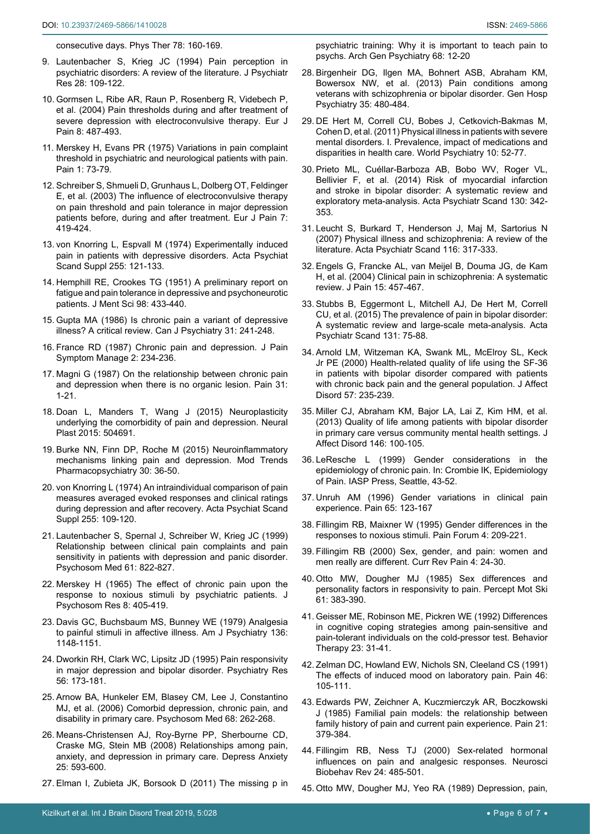<span id="page-5-0"></span>[consecutive days. Phys Ther 78: 160-169.](https://www.ncbi.nlm.nih.gov/pubmed/9474108)

- 9. [Lautenbacher S, Krieg JC \(1994\) Pain perception in](https://www.ncbi.nlm.nih.gov/pubmed/7932274)  [psychiatric disorders: A review of the literature. J Psychiatr](https://www.ncbi.nlm.nih.gov/pubmed/7932274)  [Res 28: 109-122.](https://www.ncbi.nlm.nih.gov/pubmed/7932274)
- <span id="page-5-1"></span>10. [Gormsen L, Ribe AR, Raun P, Rosenberg R, Videbech P,](https://www.ncbi.nlm.nih.gov/pubmed/15324780)  [et al. \(2004\) Pain thresholds during and after treatment of](https://www.ncbi.nlm.nih.gov/pubmed/15324780)  [severe depression with electroconvulsive therapy. Eur J](https://www.ncbi.nlm.nih.gov/pubmed/15324780)  [Pain 8: 487-493.](https://www.ncbi.nlm.nih.gov/pubmed/15324780)
- 11. [Merskey H, Evans PR \(1975\) Variations in pain complaint](https://www.ncbi.nlm.nih.gov/pubmed/1235977)  [threshold in psychiatric and neurological patients with pain.](https://www.ncbi.nlm.nih.gov/pubmed/1235977)  [Pain 1: 73-79.](https://www.ncbi.nlm.nih.gov/pubmed/1235977)
- <span id="page-5-2"></span>12. [Schreiber S, Shmueli D, Grunhaus L, Dolberg OT, Feldinger](https://www.ncbi.nlm.nih.gov/pubmed/12935793)  [E, et al. \(2003\) The influence of electroconvulsive therapy](https://www.ncbi.nlm.nih.gov/pubmed/12935793)  [on pain threshold and pain tolerance in major depression](https://www.ncbi.nlm.nih.gov/pubmed/12935793)  [patients before, during and after treatment. Eur J Pain 7:](https://www.ncbi.nlm.nih.gov/pubmed/12935793)  [419-424.](https://www.ncbi.nlm.nih.gov/pubmed/12935793)
- <span id="page-5-3"></span>13. [von Knorring L, Espvall M \(1974\) Experimentally induced](https://www.ncbi.nlm.nih.gov/pubmed/4533704)  [pain in patients with depressive disorders. Acta Psychiat](https://www.ncbi.nlm.nih.gov/pubmed/4533704)  [Scand Suppl 255: 121-133.](https://www.ncbi.nlm.nih.gov/pubmed/4533704)
- <span id="page-5-4"></span>14. [Hemphill RE, Crookes TG \(1951\) A preliminary report on](https://www.ncbi.nlm.nih.gov/pubmed/14938887)  [fatigue and pain tolerance in depressive and psychoneurotic](https://www.ncbi.nlm.nih.gov/pubmed/14938887)  [patients. J Ment Sci 98: 433-440.](https://www.ncbi.nlm.nih.gov/pubmed/14938887)
- <span id="page-5-5"></span>15. [Gupta MA \(1986\) Is chronic pain a variant of depressive](https://www.ncbi.nlm.nih.gov/pubmed/3518903)  [illness? A critical review. Can J Psychiatry 31: 241-248.](https://www.ncbi.nlm.nih.gov/pubmed/3518903)
- 16. France RD (1987) Chronic pain and depression. J Pain Symptom Manage 2: 234-236.
- <span id="page-5-6"></span>17. [Magni G \(1987\) On the relationship between chronic pain](https://www.ncbi.nlm.nih.gov/pubmed/3320879)  [and depression when there is no organic lesion. Pain 31:](https://www.ncbi.nlm.nih.gov/pubmed/3320879)  [1-21.](https://www.ncbi.nlm.nih.gov/pubmed/3320879)
- <span id="page-5-25"></span>18. [Doan L, Manders T, Wang J \(2015\) Neuroplasticity](https://www.ncbi.nlm.nih.gov/pubmed/25810926)  [underlying the comorbidity of pain and depression. Neural](https://www.ncbi.nlm.nih.gov/pubmed/25810926)  [Plast 2015: 504691.](https://www.ncbi.nlm.nih.gov/pubmed/25810926)
- <span id="page-5-26"></span>19. [Burke NN, Finn DP, Roche M \(2015\) Neuroinflammatory](https://www.ncbi.nlm.nih.gov/pubmed/26437255)  [mechanisms linking pain and depression. Mod Trends](https://www.ncbi.nlm.nih.gov/pubmed/26437255)  [Pharmacopsychiatry 30: 36-50.](https://www.ncbi.nlm.nih.gov/pubmed/26437255)
- <span id="page-5-22"></span>20. [von Knorring L \(1974\) An intraindividual comparison of pain](https://www.ncbi.nlm.nih.gov/pubmed/4533703)  [measures averaged evoked responses and clinical ratings](https://www.ncbi.nlm.nih.gov/pubmed/4533703)  [during depression and after recovery. Acta Psychiat Scand](https://www.ncbi.nlm.nih.gov/pubmed/4533703)  [Suppl 255: 109-120.](https://www.ncbi.nlm.nih.gov/pubmed/4533703)
- <span id="page-5-27"></span>21. Lautenbacher S, Spernal J, Schreiber W, Krieg JC (1999) Relationship between clinical pain complaints and pain sensitivity in patients with depression and panic disorder. Psychosom Med 61: 822-827.
- <span id="page-5-28"></span>22. [Merskey H \(1965\) The effect of chronic pain upon the](https://www.ncbi.nlm.nih.gov/pubmed/14279198)  [response to noxious stimuli by psychiatric patients. J](https://www.ncbi.nlm.nih.gov/pubmed/14279198)  [Psychosom Res 8: 405-419.](https://www.ncbi.nlm.nih.gov/pubmed/14279198)
- <span id="page-5-23"></span>23. [Davis GC, Buchsbaum MS, Bunney WE \(1979\) Analgesia](https://www.ncbi.nlm.nih.gov/pubmed/474801)  [to painful stimuli in affective illness. Am J Psychiatry 136:](https://www.ncbi.nlm.nih.gov/pubmed/474801)  [1148-1151.](https://www.ncbi.nlm.nih.gov/pubmed/474801)
- <span id="page-5-29"></span>24. [Dworkin RH, Clark WC, Lipsitz JD \(1995\) Pain responsivity](https://www.ncbi.nlm.nih.gov/pubmed/7667442)  [in major depression and bipolar disorder. Psychiatry Res](https://www.ncbi.nlm.nih.gov/pubmed/7667442)  [56: 173-181.](https://www.ncbi.nlm.nih.gov/pubmed/7667442)
- <span id="page-5-30"></span>25. [Arnow BA, Hunkeler EM, Blasey CM, Lee J, Constantino](https://www.ncbi.nlm.nih.gov/pubmed/16554392)  [MJ, et al. \(2006\) Comorbid depression, chronic pain, and](https://www.ncbi.nlm.nih.gov/pubmed/16554392)  [disability in primary care. Psychosom Med 68: 262-268.](https://www.ncbi.nlm.nih.gov/pubmed/16554392)
- <span id="page-5-31"></span>26. [Means-Christensen AJ, Roy-Byrne PP, Sherbourne CD,](https://www.ncbi.nlm.nih.gov/pubmed/17932958)  [Craske MG, Stein MB \(2008\) Relationships among pain,](https://www.ncbi.nlm.nih.gov/pubmed/17932958)  [anxiety, and depression in primary care. Depress Anxiety](https://www.ncbi.nlm.nih.gov/pubmed/17932958)  [25: 593-600.](https://www.ncbi.nlm.nih.gov/pubmed/17932958)
- <span id="page-5-32"></span>27. [Elman I, Zubieta JK, Borsook D \(2011\) The missing p in](https://www.ncbi.nlm.nih.gov/pubmed/21199962)

[psychiatric training: Why it is important to teach pain to](https://www.ncbi.nlm.nih.gov/pubmed/21199962)  [psychs. Arch Gen Psychiatry 68: 12-20](https://www.ncbi.nlm.nih.gov/pubmed/21199962)

- <span id="page-5-10"></span>28. [Birgenheir DG, Ilgen MA, Bohnert ASB, Abraham KM,](https://www.ncbi.nlm.nih.gov/pubmed/23639185)  [Bowersox NW, et al. \(2013\) Pain conditions among](https://www.ncbi.nlm.nih.gov/pubmed/23639185)  [veterans with schizophrenia or bipolar disorder. Gen Hosp](https://www.ncbi.nlm.nih.gov/pubmed/23639185)  [Psychiatry 35: 480-484.](https://www.ncbi.nlm.nih.gov/pubmed/23639185)
- <span id="page-5-7"></span>29. [DE Hert M, Correll CU, Bobes J, Cetkovich-Bakmas M,](https://www.ncbi.nlm.nih.gov/pubmed/21379357)  [Cohen D, et al. \(2011\) Physical illness in patients with severe](https://www.ncbi.nlm.nih.gov/pubmed/21379357)  [mental disorders. I. Prevalence, impact of medications and](https://www.ncbi.nlm.nih.gov/pubmed/21379357)  [disparities in health care. World Psychiatry 10: 52-77.](https://www.ncbi.nlm.nih.gov/pubmed/21379357)
- <span id="page-5-33"></span>30. [Prieto ML, Cuéllar-Barboza AB, Bobo WV, Roger VL,](https://www.ncbi.nlm.nih.gov/pubmed/24850482)  [Bellivier F, et al. \(2014\) Risk of myocardial infarction](https://www.ncbi.nlm.nih.gov/pubmed/24850482)  [and stroke in bipolar disorder: A systematic review and](https://www.ncbi.nlm.nih.gov/pubmed/24850482)  [exploratory meta-analysis. Acta Psychiatr Scand 130: 342-](https://www.ncbi.nlm.nih.gov/pubmed/24850482) [353.](https://www.ncbi.nlm.nih.gov/pubmed/24850482)
- <span id="page-5-8"></span>31. [Leucht S, Burkard T, Henderson J, Maj M, Sartorius N](https://www.ncbi.nlm.nih.gov/pubmed/17919153)  [\(2007\) Physical illness and schizophrenia: A review of the](https://www.ncbi.nlm.nih.gov/pubmed/17919153)  [literature. Acta Psychiatr Scand 116: 317-333.](https://www.ncbi.nlm.nih.gov/pubmed/17919153)
- <span id="page-5-9"></span>32. [Engels G, Francke AL, van Meijel B, Douma JG, de Kam](https://www.ncbi.nlm.nih.gov/pubmed/24365324)  [H, et al. \(2004\) Clinical pain in schizophrenia: A systematic](https://www.ncbi.nlm.nih.gov/pubmed/24365324)  [review. J Pain 15: 457-467.](https://www.ncbi.nlm.nih.gov/pubmed/24365324)
- <span id="page-5-11"></span>33. [Stubbs B, Eggermont L, Mitchell AJ, De Hert M, Correll](https://www.ncbi.nlm.nih.gov/pubmed/25098864)  [CU, et al. \(2015\) The prevalence of pain in bipolar disorder:](https://www.ncbi.nlm.nih.gov/pubmed/25098864)  [A systematic review and large-scale meta-analysis. Acta](https://www.ncbi.nlm.nih.gov/pubmed/25098864)  [Psychiatr Scand 131: 75-88.](https://www.ncbi.nlm.nih.gov/pubmed/25098864)
- <span id="page-5-12"></span>34. [Arnold LM, Witzeman KA, Swank ML, McElroy SL, Keck](https://www.ncbi.nlm.nih.gov/pubmed/10708837)  [Jr PE \(2000\) Health-related quality of life using the SF-36](https://www.ncbi.nlm.nih.gov/pubmed/10708837)  [in patients with bipolar disorder compared with patients](https://www.ncbi.nlm.nih.gov/pubmed/10708837)  [with chronic back pain and the general population. J Affect](https://www.ncbi.nlm.nih.gov/pubmed/10708837)  [Disord 57: 235-239.](https://www.ncbi.nlm.nih.gov/pubmed/10708837)
- <span id="page-5-13"></span>35. [Miller CJ, Abraham KM, Bajor LA, Lai Z, Kim HM, et al.](https://www.ncbi.nlm.nih.gov/pubmed/22981021)  [\(2013\) Quality of life among patients with bipolar disorder](https://www.ncbi.nlm.nih.gov/pubmed/22981021)  [in primary care versus community mental health settings. J](https://www.ncbi.nlm.nih.gov/pubmed/22981021)  [Affect Disord 146: 100-105.](https://www.ncbi.nlm.nih.gov/pubmed/22981021)
- <span id="page-5-14"></span>36. [LeResche L \(1999\) Gender considerations in the](http://rdcms-iasp.s3.amazonaws.com/files/production/public/Content/ContentFolders/GlobalYearAgainstPain2/20072008PaininWomen/GenderConsiderationsintheEpidemiologyofChronicPain.pdf)  [epidemiology of chronic pain. In: Crombie IK, Epidemiology](http://rdcms-iasp.s3.amazonaws.com/files/production/public/Content/ContentFolders/GlobalYearAgainstPain2/20072008PaininWomen/GenderConsiderationsintheEpidemiologyofChronicPain.pdf)  [of Pain. IASP Press, Seattle, 43-52.](http://rdcms-iasp.s3.amazonaws.com/files/production/public/Content/ContentFolders/GlobalYearAgainstPain2/20072008PaininWomen/GenderConsiderationsintheEpidemiologyofChronicPain.pdf)
- 37. [Unruh AM \(1996\) Gender variations in clinical pain](https://www.ncbi.nlm.nih.gov/pubmed/8826503)  [experience. Pain 65: 123-167](https://www.ncbi.nlm.nih.gov/pubmed/8826503)
- <span id="page-5-15"></span>38. [Fillingim RB, Maixner W \(1995\) Gender differences in the](https://www.sciencedirect.com/science/article/pii/S108231741180022X)  [responses to noxious stimuli. Pain Forum 4: 209-221.](https://www.sciencedirect.com/science/article/pii/S108231741180022X)
- <span id="page-5-16"></span>39. [Fillingim RB \(2000\) Sex, gender, and pain: women and](https://www.ncbi.nlm.nih.gov/pubmed/10998712)  [men really are different. Curr Rev Pain 4: 24-30.](https://www.ncbi.nlm.nih.gov/pubmed/10998712)
- <span id="page-5-17"></span>40. [Otto MW, Dougher MJ \(1985\) Sex differences and](https://www.ncbi.nlm.nih.gov/pubmed/4069906)  [personality factors in responsivity to pain. Percept Mot Ski](https://www.ncbi.nlm.nih.gov/pubmed/4069906)  [61: 383-390.](https://www.ncbi.nlm.nih.gov/pubmed/4069906)
- <span id="page-5-18"></span>41. [Geisser ME, Robinson ME, Pickren WE \(1992\) Differences](https://www.sciencedirect.com/science/article/abs/pii/S0005789405803065)  [in cognitive coping strategies among pain-sensitive and](https://www.sciencedirect.com/science/article/abs/pii/S0005789405803065)  [pain-tolerant individuals on the cold-pressor test. Behavior](https://www.sciencedirect.com/science/article/abs/pii/S0005789405803065)  [Therapy 23: 31-41.](https://www.sciencedirect.com/science/article/abs/pii/S0005789405803065)
- <span id="page-5-19"></span>42. [Zelman DC, Howland EW, Nichols SN, Cleeland CS \(1991\)](https://www.ncbi.nlm.nih.gov/pubmed/1896201)  [The effects of induced mood on laboratory pain. Pain 46:](https://www.ncbi.nlm.nih.gov/pubmed/1896201)  [105-111.](https://www.ncbi.nlm.nih.gov/pubmed/1896201)
- <span id="page-5-20"></span>43. [Edwards PW, Zeichner A, Kuczmierczyk AR, Boczkowski](https://www.ncbi.nlm.nih.gov/pubmed/4000687)  [J \(1985\) Familial pain models: the relationship between](https://www.ncbi.nlm.nih.gov/pubmed/4000687)  [family history of pain and current pain experience. Pain 21:](https://www.ncbi.nlm.nih.gov/pubmed/4000687)  [379-384.](https://www.ncbi.nlm.nih.gov/pubmed/4000687)
- <span id="page-5-21"></span>44. [Fillingim RB, Ness TJ \(2000\) Sex-related hormonal](https://www.ncbi.nlm.nih.gov/pubmed/10817845)  [influences on pain and analgesic responses. Neurosci](https://www.ncbi.nlm.nih.gov/pubmed/10817845)  [Biobehav Rev 24: 485-501.](https://www.ncbi.nlm.nih.gov/pubmed/10817845)
- <span id="page-5-24"></span>45. [Otto MW, Dougher MJ, Yeo RA \(1989\) Depression, pain,](https://www.ncbi.nlm.nih.gov/pubmed/2703826)